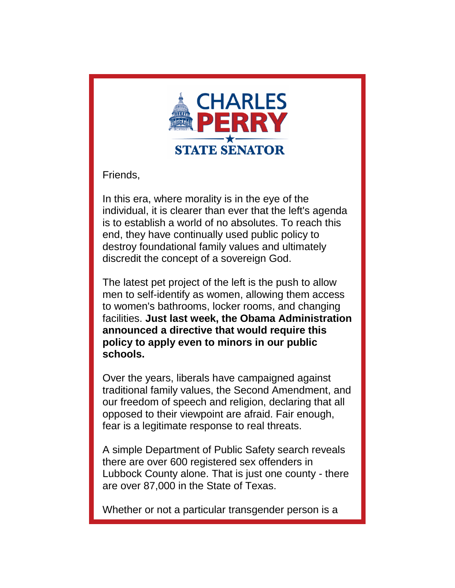

Friends,

In this era, where morality is in the eye of the individual, it is clearer than ever that the left's agenda is to establish a world of no absolutes. To reach this end, they have continually used public policy to destroy foundational family values and ultimately discredit the concept of a sovereign God.

The latest pet project of the left is the push to allow men to self-identify as women, allowing them access to women's bathrooms, locker rooms, and changing facilities. **Just last week, the Obama Administration announced a directive that would require this policy to apply even to minors in our public schools.**

Over the years, liberals have campaigned against traditional family values, the Second Amendment, and our freedom of speech and religion, declaring that all opposed to their viewpoint are afraid. Fair enough, fear is a legitimate response to real threats.

A simple Department of Public Safety search reveals there are over 600 registered sex offenders in Lubbock County alone. That is just one county - there are over 87,000 in the State of Texas.

Whether or not a particular transgender person is a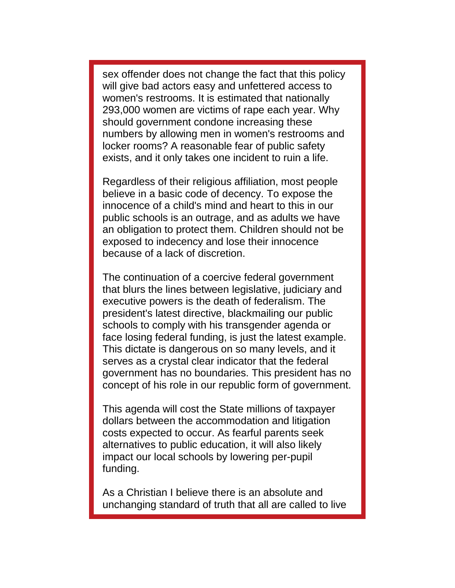sex offender does not change the fact that this policy will give bad actors easy and unfettered access to women's restrooms. It is estimated that nationally 293,000 women are victims of rape each year. Why should government condone increasing these numbers by allowing men in women's restrooms and locker rooms? A reasonable fear of public safety exists, and it only takes one incident to ruin a life.

Regardless of their religious affiliation, most people believe in a basic code of decency. To expose the innocence of a child's mind and heart to this in our public schools is an outrage, and as adults we have an obligation to protect them. Children should not be exposed to indecency and lose their innocence because of a lack of discretion.

The continuation of a coercive federal government that blurs the lines between legislative, judiciary and executive powers is the death of federalism. The president's latest directive, blackmailing our public schools to comply with his transgender agenda or face losing federal funding, is just the latest example. This dictate is dangerous on so many levels, and it serves as a crystal clear indicator that the federal government has no boundaries. This president has no concept of his role in our republic form of government.

This agenda will cost the State millions of taxpayer dollars between the accommodation and litigation costs expected to occur. As fearful parents seek alternatives to public education, it will also likely impact our local schools by lowering per-pupil funding.

As a Christian I believe there is an absolute and unchanging standard of truth that all are called to live